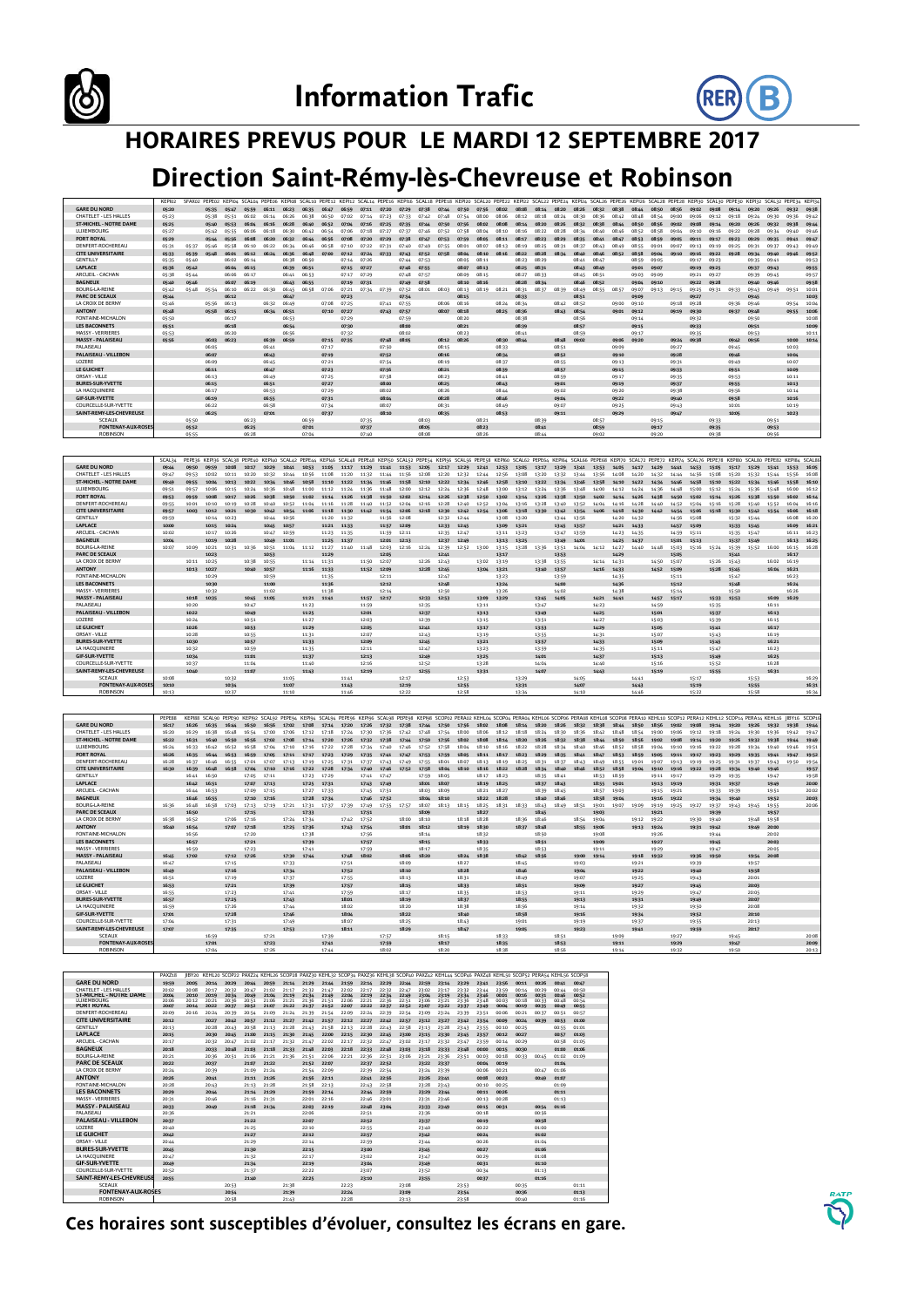



## **HORAIRES PREVUS POUR LE MARDI 12 SEPTEMBRE 2017**

## **Direction Saint-Rémy-lès-Chevreuse et Robinson**

|                                             | KEPI02         | SFAX02 PEPE02 KEPI04 SCAL04 PEPE06 KEPI08 SCAL10 PEPE12 KEPI12 SCAL14 PEPE16 KEPI16 SCAL18 |                |                |                |                |                |                |                |                |                |                |                |                |                |                |                | : PEPE18 KEPI20 SCAL20 PEPE22 KEPI22 SCAL22 PEPE24 KEPI24 SCAL26 PEPE26 KEPI26 SCAL28 PEPE28 KEPI30 SCAL30 PEPE30 KEPI32 SCAL32 PEPE34 KEPI3 |                |                |                |                |                |                |                |                |                |                |                   |                |                |                |                      |       |
|---------------------------------------------|----------------|--------------------------------------------------------------------------------------------|----------------|----------------|----------------|----------------|----------------|----------------|----------------|----------------|----------------|----------------|----------------|----------------|----------------|----------------|----------------|----------------------------------------------------------------------------------------------------------------------------------------------|----------------|----------------|----------------|----------------|----------------|----------------|----------------|----------------|----------------|----------------|-------------------|----------------|----------------|----------------|----------------------|-------|
| <b>GARE DU NORD</b>                         | 05:20          |                                                                                            | 05:35          | 05:47          | 05:59          | 06:11          | 06:23          | 06:35          | 06:47          | 06:59          | 07:11          | 07:20          | 07:29          | 07:38          | 07:66          | 07:50          | 07:56          | 08:02                                                                                                                                        | 08:08          | 08:14          | 08:20          | 08:26          | 08:32          | 08:38          | $QR - AG$      | 08:50          | 08:56          | 09:02          | 09:08             | 09:14          | 09:20          | 09:26          | 09:32 09:38          |       |
| CHATELET - LES HALLES                       | 05:23          |                                                                                            | 05:38          | 05:51          | 06:02          | 06:14          | 06:26          | 06:38          | 06:50          | 07:02          | 07:14          | 07:23          | 07:33          | 07:42          | 07:48          | 07:54          | 08:00          | 08:06                                                                                                                                        | 08:12          | 08:18          | 08:24          | 08:30          | 08:36          | 08:42          | 08:48          | 08:54          | 09:00          | 09:06          | 09:12             | 09:18          | 09:24          | 09:30          | 09:36                | 09:42 |
| <b>ST-MICHEL - NOTRE DAME</b><br>LUXEMBOURG | 05:25<br>05:27 |                                                                                            | 05:40<br>05:42 | 05:53<br>05:55 | 06:04<br>06:06 | 06:16<br>06:18 | 06:28<br>06:30 | 06:40<br>06:42 | 06:52<br>06:54 | 07:04<br>07:06 | 07:16<br>07:18 | 07:25<br>07:27 | 07:35<br>07:37 | 07:44<br>07:46 | 07:50<br>07:52 | 07:56<br>07:58 | 08:02<br>08:04 | <b>GR-DR</b><br>08:10                                                                                                                        | 08:16<br>08:16 | 08:20<br>08:22 | 08:26<br>08:28 | 08:32<br>08:34 | 08:38<br>08:40 | 08:66<br>08:46 | 08:50<br>08:52 | 08:56<br>08:58 | 09:02<br>09:04 | 09:08<br>09:10 | 09:14<br>09:16    | 09:20<br>09:22 | 09:26<br>09:28 | 09:32<br>09:34 | 09:38 09:44<br>09:40 | 09:46 |
| PORT ROYAL                                  | 05:29          |                                                                                            | 05:66          | 05:56          | 06:08          | 06:20          | 06:32          | 06:66          | 0656           | 07:08          | 07:20          | 07:29          | 07:38          | 07:47          | 07:53          | 07:59          | 08:05          | 08:11                                                                                                                                        | 08:17          | 08:23          | 08:29          | 08:35          | 08:41          | 08:67          | 08:53          | 08:59          | 09:05          | 09:11          | 09:17             | 09:23          | 09:29          | 09:35          | 09:41 09:47          |       |
| DENFERT-ROCHEREAU                           | 05:31          | 05:37                                                                                      | 05:46          | 05:58          | 06:10          | 06:22          | 06:34          | 06:46          | 06:58          | 07:10          | 07:22          | 07:31          | 07:40          | 07:49          | 07:55          | 08:01          | 08:07          | 08:13                                                                                                                                        | 08:19          | 08:25          | 08:31          | 08:37          | 08:43          | 08:49          | 08:55          | 09:01          | 09:07          | 09:13          | 09:19             | 09:25          | 09:31          | 09:37          | 09:43                | 09:49 |
| <b>CITE UNIVERSITAIRE</b>                   | 05:33          | 05:39                                                                                      | 05:48          | 06:01          | 06:12 06:24    |                | 06:36          | 06:48          | 07:00          | 07:12          | 07:24 07:33    |                | 07:43          | 07:52 07:58    |                | 08:04          |                | 08:10 08:16                                                                                                                                  | 08:22          | 08:28          | 08:34          | 08:40          | 08:46          | 08:52          | 08:58          |                | 09:06 09:10    |                | 09:16 09:22 09:28 |                | 09:34          | 09:40          | 09:46                | 09:52 |
| GENTILLY                                    | 05:35          | 05:40                                                                                      |                | 06:02          | 06:14          |                | 06:38          | 06:50          |                | 07:14 07:26    |                |                |                | 07:44 07:53    |                | 08:05          | 08:11          |                                                                                                                                              | 08:23          | 08:29          |                | 08:41          | 08:47          |                | 08:59          | 09:05          |                | 09:17          | 09:23             |                | 09:35          | 09:41          |                      | 09:53 |
| LAPLACE                                     | 05:36          | 05:42                                                                                      |                | 06:06 06:15    |                |                | 06:39          | 06:51          |                | 07:15 07:27    |                |                |                | 07:46 07:55    |                | 08:07          | 08:13          |                                                                                                                                              | 08:25          | 08:31          |                | 08:43          | 08:49          |                | 09:01          | 09:07          |                | 09:19 09:25    |                   |                | 09:37          | 09:43          |                      | 09:55 |
| ARCUEIL - CACHAN                            | 05:38          | 05:44                                                                                      |                | 06:06          | 06:17          |                | 06:41          | 06:53          |                | 07:17          | 07:29          |                | 07:48          | 07:57          |                | 08:09          | 08:15          |                                                                                                                                              | 08:27          | 08:33          |                | 08:45          | 08:51          |                | 09:03          | 09:09          |                | 09:21          | 09:27             |                | 09:39          | 09:45          |                      | 09:57 |
| <b>BAGNEUX</b>                              | 05:40          | 05:46                                                                                      |                | 06:07          | 06:19          |                |                | 06:43 06:55    |                | 07:19          | 07:31          |                |                | 07:49 07:58    |                | 08:10          | 08:16          |                                                                                                                                              | 08:28          | 08:34          |                | 08:46          | 08:52          |                | 09:06          | 09:10          |                | 09:22 09:28    |                   |                | 09:40          | 09:46          |                      | 09:58 |
| <b>BOURG-LA-REINE</b>                       | 05:42          | 05:48                                                                                      | 05:54          | 06:10          | 06:22 06:30    |                | 06:45          | 06:58          | 07:06          | 07:21          | 07:34 07:39    |                | 07:52          | 08:01          | 08:03          | 08:13          | 08:19          | 08:21                                                                                                                                        | 08:31          | 08:37          | 08:39          | 08:49          | 08:55          | 08:57          | 09:07          |                | 09:13 09:15    | 09:25          | 09:31             | 09:33          | 09:43          | 09:49          | 09:51                | 10:01 |
| <b>PARC DE SCEAUX</b>                       | 05:44          |                                                                                            |                | 06:12          |                |                | 06:47          |                |                | 07:23          |                |                | 07:54          |                |                | 08:15          |                |                                                                                                                                              | 08:33          |                |                | 08:51          |                |                | 09:09          |                |                | 09:27          |                   |                | 09:45          |                |                      | 10:03 |
| LA CROIX DE BERNY                           | 05:46          |                                                                                            | 05:56          | 06:13          |                | 06:32          | 06:49          |                | 07:08          | 07:25          |                | 07:41          | 07:55          |                | 08:06          | 08:16          |                | 08:24                                                                                                                                        | 08:34          |                | 08:42          | 08:52          |                | 09:00          | 09:10          |                | 09:18          | 09:28          |                   | 09:36          | 09:46          |                | 09:54                | 10:04 |
| <b>ANTONY</b>                               | 05:48          |                                                                                            | 05:58          | 06:15          |                | 06:34 06:51    |                |                | 07:10          | 07:27          |                | 07:43          | 07:57          |                | 08:07          | 08:18          |                | 08:25                                                                                                                                        | 08:36          |                | 08:43          | 08:54          |                | 09:01          | 09:12          |                | 09:19          | 09:30          |                   | 09:37          | 09:48          |                | 09:55                | 10:06 |
| FONTAINE-MICHALON                           | 05:50          |                                                                                            |                | 06:17          |                |                | 06:53          |                |                | 07:29          |                |                | 07:59          |                |                | 08:20          |                |                                                                                                                                              | 08:38          |                |                | 08:56          |                |                | 09:14          |                |                | 09:32          |                   |                | 09:50          |                |                      | 10:08 |
| <b>LES BACONNETS</b>                        | 05:51          |                                                                                            |                | 06:18          |                |                | 06:54          |                |                | 07:30          |                |                | 08:00          |                |                | 08:21          |                |                                                                                                                                              | 08:39          |                |                | 08:57          |                |                | 09:15          |                |                | 09:33          |                   |                | 09:51          |                |                      | 10:09 |
| <b>MASSY - VERRIERES</b>                    | 05:53          |                                                                                            |                | 06:20          |                |                | 06:56          |                |                | 07:32          |                |                | 08:02          |                |                | 08:23          |                |                                                                                                                                              | 08:41          |                |                | 08:59          |                |                | 09:17          |                |                | 09:35          |                   |                | 09:53          |                |                      | 10:11 |
| <b>MASSY - PALAISEAU</b>                    | 05:56          |                                                                                            | 06:03          | 06:23          |                | 06:39 06:59    |                |                | 07:15          | 07:35          |                | 07:48          | 08:05          |                | 08:12 08:26    |                |                | 08:30                                                                                                                                        | 08:44          |                | 08:48          | 09:02          |                | 09:06          | 09:20          |                | 09:24 09:38    |                |                   | 09:42          | 09:56          |                | 10:00                | 10:14 |
| PALAISEAU                                   |                |                                                                                            | 06:05          |                |                | 06:41          |                |                | 07:17          |                |                | 07:50          |                |                | 08:15          |                |                | 08:33                                                                                                                                        |                |                | 08:51          |                |                | 09:09          |                |                | 09:27          |                |                   | 09:45          |                |                | 10:03                |       |
| PALAISEAU - VILLEBON                        |                |                                                                                            | 06:07          |                |                | 06:43          |                |                | 07:19          |                |                | 07:52          |                |                | 08:16          |                |                | 08:34                                                                                                                                        |                |                | 08:52          |                |                | 09:10          |                |                | 09:28          |                |                   | 09:46          |                |                | 10:06                |       |
| LOZERE                                      |                |                                                                                            | 06:09          |                |                | 06:45          |                |                | 07:21          |                |                | 07:54          |                |                | 08:19          |                |                | 08:37                                                                                                                                        |                |                | 08:55          |                |                | 09:13          |                |                | 09:31          |                |                   | 09:49          |                |                | 10:07                |       |
| LE GUICHET                                  |                |                                                                                            | 06:11          |                |                | 06:47          |                |                | 07:23          |                |                | 07:56          |                |                | 08:21          |                |                | 08:39                                                                                                                                        |                |                | 08:57          |                |                | 09:15          |                |                | 09:33          |                |                   | 09:51          |                |                | 10:09                |       |
| ORSAY - VILLE                               |                |                                                                                            | 06:13          |                |                | 06:49          |                |                | 07:25          |                |                | 07:58          |                |                | 08:23          |                |                | 08:41                                                                                                                                        |                |                | 08:59          |                |                | 09:17          |                |                | 09:35          |                |                   | 09:53          |                |                | 10:11                |       |
| <b>BURES-SUR-YVETTE</b>                     |                |                                                                                            | 06:15          |                |                | 06:51          |                |                | 07:27          |                |                | 08:00          |                |                | 08:25          |                |                | 08:43                                                                                                                                        |                |                | 09:01          |                |                | 09:19          |                |                | 09:37          |                |                   | 09:55          |                |                | 10:13                |       |
| LA HACQUINIERE                              |                |                                                                                            | 06:17          |                |                | 06:53          |                |                | 07:29          |                |                | 08:02          |                |                | 08:26          |                |                | 08:44                                                                                                                                        |                |                | 09:02          |                |                | 09:20          |                |                | 09:38          |                |                   | 09:56          |                |                | 10:14                |       |
| <b>GIF-SUR-YVETTE</b>                       |                |                                                                                            | 06:19          |                |                | 06:55          |                |                | 07:31          |                |                | 08:06          |                |                | 08:28          |                |                | 08:46                                                                                                                                        |                |                | 09:04          |                |                | 09:22          |                |                | 09:40          |                |                   | 09:58          |                |                | 10:16                |       |
| COURCELLE-SUR-YVETTE                        |                |                                                                                            | 06:22          |                |                | 06:58          |                |                | 07:34          |                |                | 08:07          |                |                | 08:31          |                |                | 08:49                                                                                                                                        |                |                | 09:07          |                |                | 09:25          |                |                | 09:43          |                |                   | 10:01          |                |                | 10:19                |       |
| SAINT-REMY-LES-CHEVREUSE                    |                |                                                                                            | 06:25          |                |                | 07:01          |                |                | 07:37          |                |                | 08:10          |                |                | 08:35          |                |                | 08:53                                                                                                                                        |                |                | 09:11          |                |                | 09:29          |                |                | 09:47          |                |                   | 10:05          |                |                | 10:23                |       |
| SCEAUX                                      |                | 05:50                                                                                      |                |                | 06:23          |                |                | 06:59          |                |                | 07:35          |                |                | 08:03          |                |                | 08:21          |                                                                                                                                              |                | 08:39          |                |                | 08:57          |                |                | 09:15          |                |                | 09:33             |                |                | 09:51          |                      |       |
| <b>FONTENAY-AUX-ROSES</b>                   |                | 05:52                                                                                      |                |                | 06:25          |                |                | 07:01          |                |                | 07:37          |                |                | 08:05          |                |                | 08:23          |                                                                                                                                              |                | 08:41          |                |                | 08:59          |                |                | 09:17          |                |                | 09:35             |                |                | 09:53          |                      |       |
| <b>ROBINSON</b>                             |                | 05:55                                                                                      |                |                | 06:28          |                |                | 07:04          |                |                | 07:40          |                |                | 08:08          |                |                | 08:26          |                                                                                                                                              |                | 08:44          |                |                | 09:02          |                |                | 09:20          |                |                | 09:38             |                |                | 09:56          |                      |       |

| <b>GARE DU NORD</b>           | 09:44 | 09:50 | 09:59 | 10:08 | 10:17 | 10:29       | 10:41       | 10:53 | 11:05       | 11:17       | 11:29       | 11:41 | 11:53       | 12:05       | 12:17       | 12:29 | 12:41       | 12:53 | 13:05 | 13:17 | 13:29 | 13:41 | 13:53 | 14:05 | 14:17 | 14:29 | 14:41       | 14:53       | 15:05       | 15:17       | 15:29 | 15:41 | 15:53 16:05 |             |
|-------------------------------|-------|-------|-------|-------|-------|-------------|-------------|-------|-------------|-------------|-------------|-------|-------------|-------------|-------------|-------|-------------|-------|-------|-------|-------|-------|-------|-------|-------|-------|-------------|-------------|-------------|-------------|-------|-------|-------------|-------------|
| CHATELET - LES HALLES         | 09:47 | 09:53 | 10:02 | 10:11 | 10:20 | 10:32       | 10:44       | 10:56 | 11:08       | 11:20       | 11:32       | 11:44 | 11:56       | 12:08       | 12:20       | 12:32 | 12:44       | 12:56 | 13:08 | 13:20 | 13:32 | 13:44 | 13:56 | 14:08 | 14:20 | 14:32 | 14:44       | 14:56       | 15:08       | 15:20       | 15:32 | 15:44 | 15:56 16:08 |             |
| <b>ST-MICHEL - NOTRE DAME</b> | 09:49 | 09:55 | 10:06 | 10:13 | 10:22 | 10:36       | 10:46       | 10:58 | 11:10       | 11:22       | 11:34       | 11:46 | 11:58       | 12:10       | 12:22       | 12:34 | 12:46       | 12:58 | 13:10 | 13:22 | 13:36 | 13:46 | 13:58 | 14:10 | 14.22 | 16:36 | 14.66       | 14:58       | 15:10       | 15:22       | 15:36 | 15:46 | 15:58       | 16:10       |
| LUXEMBOURG                    | 09:51 | 09:57 | 10:06 | 10:15 | 10:24 | 10:36       | 10:48       | 11:00 | 11:12       | 11:24       | 11:36       | 11:48 | 12:00       | 12:12       | 12:24       | 12:36 | 12:48       | 13:00 | 13:12 | 13:24 | 13:36 | 13:48 | 14:00 | 14:12 | 14:24 | 14:36 | 14:48       | 15:00       | 15:12       | 15:24       | 15:36 | 15:48 | 16:00       | 16:12       |
| PORT ROYAL                    | 09:53 | 09:59 | 10:08 | 10:17 | 10:26 | 10.38       | 10:50       | 11:02 | 11:14       | 11:26       | 11:38       | 11:50 | 12:02       | 12:14       | 12:26       | 12:38 | 12:50       | 13,02 | 13:14 | 13:26 | 13:38 | 13:50 | 14:02 | 14:14 | 14:26 | 14:38 | 14:50       | 15:02       | 15:14       | 15:26       | 15:38 | 15:50 |             | 16:02 16:14 |
| DENFERT-ROCHEREAU             | 09:55 | 10:01 | 10:10 | 10:19 | 10:28 | 10:40       | 10:52       | 11:04 | 11:16       | 11:28       | 11:40       | 11:52 | 12:04       | 12:16       | 12:28       | 12:40 | 12:52       | 13:04 | 13:16 | 13:28 | 13:40 | 13:52 | 14:04 | 14:16 | 14:28 | 14:40 | 14:52       | 15:04       | 15:16       | 15:28       | 15:40 | 15:52 | 16:04       | 16:16       |
| <b>CITE UNIVERSITAIRE</b>     | 09:57 | 10:03 | 10:12 | 10:21 | 10:30 | 10:42       | 10:54       | 11:06 | 11:18       | 11:30       | 11:42       | 11:54 | 12:06       | 12:18       | 12:30       | 12:42 | 12:54       | 13:06 | 13:18 | 13:30 | 13:42 | 13:54 | 14:06 | 14:18 | 14:30 | 16:62 | 14:54       | 15:06       | 15:18       | 15:30       | 15:42 | 15:54 |             | 16:06 16:18 |
| <b>GENTILLY</b>               | 09:59 |       | 10:14 | 10:23 |       | 10:44       | 10:56       |       | 11:20       | 11:32       |             |       | 11:56 12:08 |             | 12:32       | 12:44 |             | 13:08 | 13:20 |       | 13:44 | 13:56 |       | 14:20 | 14:32 |       | 14:56       | 15:08       |             | 15:32 15:44 |       |       |             | 16:08 16:20 |
| LAPLACE                       | 10:00 |       | 10:15 | 10:24 |       |             | 10:45 10:57 |       |             | 11:21 11:33 |             | 11:57 | 12:09       |             | 12:33       | 12:45 |             | 13:09 | 13:21 |       | 13:45 | 13:57 |       | 14:21 | 14:33 |       | 14:57       | 15:09       |             | 15:33 15:45 |       |       |             | 16:09 16:21 |
| ARCUEIL - CACHAN              | 10:02 |       | 10:17 | 10:26 |       | 10:47       | 10:59       |       | 11:23 11:35 |             |             |       | 11:59 12:11 |             | 12:35       | 12:47 |             | 13:11 | 13:23 |       | 13:47 | 13:59 |       | 14:23 | 14:35 |       |             | 14:59 15:11 |             | 15:35 15:47 |       |       |             | 16:11 16:23 |
| <b>BAGNEUX</b>                | 10:06 |       | 10:19 | 10:28 |       |             | 10:49 11:01 |       |             | 11:25 11:37 |             |       | 12:01 12:13 |             | 12:37       | 12:49 |             | 13:13 | 13:25 |       | 13:49 | 14:01 |       | 14:25 | 14:37 |       |             | 15:01 15:13 |             | 15:37       | 15:49 |       | 16:13 16:25 |             |
| <b>BOURG-LA-REINE</b>         | 10:07 | 10:09 | 10:21 | 10:31 | 10:36 | 10:51       | 11:04 11:12 |       | 11:27       | 11:40       | 11:48       | 12:03 | 12:16       | 12:24       | 12:39       | 12:52 | 13:00       | 13:15 | 13:28 | 13:36 | 13:51 | 14:04 | 14:12 | 14:27 | 14:40 | 14:48 | 15:03       | 15:16       | 15:24       | 15:39       | 15:52 | 16:00 | 16:15 16:28 |             |
| PARC DE SCEAUX                |       |       | 10:23 |       |       | 10:53       |             |       | 11:29       |             |             | 12:05 |             |             | 12:41       |       |             | 13:17 |       |       | 13:53 |       |       | 14:29 |       |       | 15:05       |             |             | 15:41       |       |       | 16:17       |             |
| LA CROIX DE BERNY             |       | 10:11 | 10:25 |       | 10:38 | 10:55       |             |       | 11:14 11:31 |             | 11:50       | 12:07 |             | 12:26       | 12:43       |       | 13:02       | 13:19 |       | 13:38 | 13:55 |       | 14:14 | 14:31 |       | 14:50 | 15:07       |             | 15:26       | 15:43       |       | 16:02 | 16:19       |             |
| <b>ANTONY</b>                 |       | 10:13 | 10:27 |       |       | 10:40 10:57 |             |       | 11:16 11:33 |             | 11:52 12:09 |       |             |             | 12:28 12:45 |       | 13:06 13:21 |       |       | 13:40 | 13:57 |       | 14:16 | 14:33 |       |       | 14:52 15:09 |             | 15:28 15:45 |             |       |       | 16:06 16:21 |             |
| FONTAINE-MICHALON             |       |       | 10:29 |       |       | 10:59       |             |       | 11:35       |             |             | 12:11 |             |             | 12:47       |       |             | 13:23 |       |       | 13:59 |       |       | 14:35 |       |       | 15:11       |             |             | 15:47       |       |       | 16:23       |             |
| <b>LES BACONNETS</b>          |       |       | 10:30 |       |       | 11:00       |             |       | 11:36       |             |             | 12:12 |             |             | 12:48       |       |             | 13:24 |       |       | 14:00 |       |       | 14:36 |       |       | 15:12       |             |             | 15:48       |       |       | 16:26       |             |
| <b>MASSY - VERRIERES</b>      |       |       | 10:32 |       |       | 11:02       |             |       | 11:38       |             |             | 12:14 |             |             | 12:50       |       |             | 13:26 |       |       | 14:02 |       |       | 14:38 |       |       | 15:14       |             |             | 15:50       |       |       | 16:26       |             |
| <b>MASSY - PALAISEAU</b>      |       | 10:18 | 10:35 |       |       | 10:45 11:05 |             |       | 11:21 11:41 |             | 11:57       | 12:17 |             | 12:33 12:53 |             |       | 13:09 13:29 |       |       | 13:45 | 14:05 |       | 14:21 | 14:41 |       | 14:57 | 15:17       |             |             | 1533 15:53  |       | 16:09 | 16:29       |             |
| PALAISEAU                     |       | 10:20 |       |       | 10:47 |             |             | 11:23 |             |             | 11:59       |       |             | 12:35       |             |       | 13:11       |       |       | 13:47 |       |       | 14:23 |       |       | 14:59 |             |             | 15:35       |             |       | 16:11 |             |             |
| PALAISEAU - VILLEBON          |       | 10:22 |       |       | 10:49 |             |             | 11:25 |             |             | 12:01       |       |             | 12:37       |             |       | 13:13       |       |       | 13:49 |       |       | 14:25 |       |       | 15:01 |             |             | 15:37       |             |       | 16:13 |             |             |
| LOZERE                        |       | 10:24 |       |       | 10:51 |             |             | 11:27 |             |             | 12:03       |       |             | 12:39       |             |       | 13:15       |       |       | 13:51 |       |       | 14:27 |       |       | 15:03 |             |             | 15:39       |             |       | 16:15 |             |             |
| LE GUICHET                    |       | 10:26 |       |       | 10:53 |             |             | 11:29 |             |             | 12:05       |       |             | 12:41       |             |       | 13:17       |       |       | 13:53 |       |       | 14:29 |       |       | 15:05 |             |             | 15:41       |             |       | 16:17 |             |             |
| ORSAY - VILLE                 |       | 10:28 |       |       | 10:55 |             |             | 11:31 |             |             | 12:07       |       |             | 12:43       |             |       | 13:19       |       |       | 13:55 |       |       | 14:31 |       |       | 15:07 |             |             | 15:43       |             |       | 16:19 |             |             |
| <b>BURES-SUR-YVETTE</b>       |       | 10:30 |       |       | 10:57 |             |             | 11:33 |             |             | 12:09       |       |             | 12:45       |             |       | 13:21       |       |       | 13:57 |       |       | 14:33 |       |       | 15:09 |             |             | 15:45       |             |       | 16:21 |             |             |
| LA HACOUINIERE                |       | 10:32 |       |       | 10:59 |             |             | 11:35 |             |             | 12:11       |       |             | 12:47       |             |       | 13:23       |       |       | 13:59 |       |       | 14:35 |       |       | 15:11 |             |             | 15:47       |             |       | 16:23 |             |             |
| <b>GIF-SUR-YVETTE</b>         |       | 10:34 |       |       | 11:01 |             |             | 11:37 |             |             | 12:13       |       |             | 12:49       |             |       | 13:25       |       |       | 14:01 |       |       | 14:37 |       |       | 15:13 |             |             | 15:49       |             |       | 16:25 |             |             |
| COURCELLE-SUR-YVETTE          |       | 10:37 |       |       | 11:04 |             |             | 11:40 |             |             | 12:16       |       |             | 12:52       |             |       | 13:28       |       |       | 14:04 |       |       | 14:40 |       |       | 15:16 |             |             | 15:52       |             |       | 16:28 |             |             |
| SAINT-REMY-LES-CHEVREUSE      |       | 10:40 |       |       | 11:07 |             |             | 11:43 |             |             | 12:19       |       |             | 12:55       |             |       | 13:31       |       |       | 14:07 |       |       | 14:43 |       |       | 15:19 |             |             | 15:55       |             |       | 16:31 |             |             |
| <b>SCEAUX</b>                 | 10:08 |       |       | 10:32 |       |             | 11:05       |       |             | 11:41       |             |       | 12:17       |             |             | 12:53 |             |       | 13:29 |       |       | 14:05 |       |       | 14:41 |       |             | 15:17       |             |             | 15:53 |       |             | 16:29       |
| <b>FONTENAY-AUX-ROSES</b>     | 10:10 |       |       | 10:34 |       |             | 11:07       |       |             | 11:43       |             |       | 12:19       |             |             | 12:55 |             |       | 13:31 |       |       | 14:07 |       |       | 14:43 |       |             | 15:19       |             |             | 15:55 |       |             | 16:31       |
| <b>ROBINSON</b>               | 10:13 |       |       | 10:37 |       |             | 11:10       |       |             | 11:46       |             |       | 12:22       |             |             | 12:58 |             |       | 13:34 |       |       | 14:10 |       |       | 14:46 |       |             | 15:22       |             |             | 15:58 |       |             | 16:34       |

|                               | PEPE88 |       |       |       |             |             |       |       |             |             |             |             |       |             |                   |       |       |           |       |       |           |       |       |           |           |       |             |           |             |       |             |             | KEPISS SCAL90 PEPE90 KEPI92 SCAL92 PEPE94 KEPI94 SCAL94 PEPE96 KEPI96 SCAL98 PEPE98 KEPI98 SCOPD2 PERAQ2 KEHL04 SCOPD4 PERAQ4 KEHL06 SCOP08 PERAQ8 KEHL08 SCOP08 PERAQ2 KEHL10 SCOP12 PERA12 KEHL12 SCOP14 PERA14 KEHL16 IIBY1 |       |
|-------------------------------|--------|-------|-------|-------|-------------|-------------|-------|-------|-------------|-------------|-------------|-------------|-------|-------------|-------------------|-------|-------|-----------|-------|-------|-----------|-------|-------|-----------|-----------|-------|-------------|-----------|-------------|-------|-------------|-------------|--------------------------------------------------------------------------------------------------------------------------------------------------------------------------------------------------------------------------------|-------|
| <b>GARE DU NORD</b>           | 16:17  | 16:26 | 16:35 | 16:66 | 16:50       | 16:56       | 17:02 | 17:08 | 17:14       | 17:20       | 17:26 17:32 |             | 17:38 |             | 17:66 17:50 17:56 |       | 18:02 | 18:08     | 18:14 | 18:20 | 18:26     | 18:32 | 18:38 | 18:44     | 18:50     | 18:56 | 19:02       | 19:08     | 19:14 19:20 |       | 19:26 19:32 |             | 19:38 19:44                                                                                                                                                                                                                    |       |
| <b>CHATELET - LES HALLES</b>  | 16:20  | 16:29 | 16:38 | 16:48 | 16:54       | 17:00       | 17:06 | 17:12 | 17:18       | 17:24       | 17:30       | 17:36       | 17:42 | 17:48       | 17:54             | 18:00 | 18:06 | 18:12     | 18:18 | 18:24 | 18:30     | 18:36 | 18:42 | 18:48     | 18:54     | 19:00 | 19:06       | 19:12     | 19:18       | 19:24 | 19:30       | 19:36       | 19:42                                                                                                                                                                                                                          | 19:47 |
| <b>ST-MICHEL - NOTRE DAME</b> | 16:22  | 16:31 | 16:60 | 16:50 |             | 17:02       | 17:08 | 17:14 | 17:20       | 17:26       | 17:32       | 17:38       | 17:44 | 17:50       | 17:56             | 1802  | 18:08 | $18 - 14$ | 18:20 | 18:26 | 18:32     | 18:38 | 18:66 | $18 - 50$ |           | 19:02 | 19:08       |           | 19:20       | 19:26 | 19:32       | 19:38       | 19:44                                                                                                                                                                                                                          | 19:49 |
| LUXEMBOURG                    | 16:24  | 16:33 | 16:42 | 16:52 | $16 - SR$   | 17:04       | 17:10 | 17:16 | 17:22       | 17:28       |             | 17:40       | 17:46 | 17:52       | 17:58             | 18:04 | 18:10 | 18:16     | 18:22 | 18:28 | 18:34     | 18:40 | 18:46 | 18:52     | 18:58     | 19:04 | 19:10       | 19:16     | 19:22       | 19:28 | 19:34       | 19:40       | 19:46                                                                                                                                                                                                                          | 19:51 |
| PORT ROYAL                    | 16:26  | 16:35 | 16:44 | 16:53 | 16:59       | 17:05       | 17:11 | 17:17 | 17:23       | 17:29       | 17:35       | 17:41       | 17:47 | 17:53       | 17:59             | 1805  | 18:11 | $18 - 17$ | 18.23 | 18:29 | 18.35     | 18:41 | 18:47 | 18:53     | $18 - 59$ | 19:05 | 19:11       | $19 - 17$ | 19:23       | 19:29 | 19:35       | 19:41       | 19:47                                                                                                                                                                                                                          | 19:52 |
| DENFERT-ROCHEREAU             | 16:28  | 16:37 | 16:46 | 16:55 | 17:01       | 17:07       | 17:13 | 17:19 | 17:25       | 17:31       | 17:37       | 17:43       | 17:49 | 17:55       | 18:01             | 18:07 | 18:13 | 18:19     | 18:25 | 18:31 | 18:37     | 18:43 | 18:49 | 18:55     | 19:01     | 19:07 | 19:13       | 19:19     | 19:25       | 19:31 | 19:37       | 19:43       | 19:50                                                                                                                                                                                                                          | 19:54 |
| <b>CITE UNIVERSITAIRE</b>     | 16:30  | 16:39 | 16:48 | 16:58 | 17:04       | 17:10       | 17:16 | 17:22 | 17:28       | 17:34       | 17:40       | 17:46       | 17:52 | 17:58       | 18:06             | 18:10 | 18:16 | 1822      | 18:28 | 18:34 | 18:40     | 18:46 | 18:52 | 18:58     | 19:06     | 19:10 | 19:16       | 19:22     | 19:28       | 19:34 | 19:40       | 19:46       |                                                                                                                                                                                                                                | 19:57 |
| <b>GENTILLY</b>               |        | 16:41 | 16:50 |       |             | 17:05 17:11 |       |       | 17:23 17:29 |             |             | 17:41 17:47 |       | 17:59       | 18:05             |       | 18:17 | 18:23     |       | 18:35 | 18:41     |       | 18:53 | 18:59     |           | 19:11 | 19:17       |           | 19:29       | 19:35 |             | 19:47       |                                                                                                                                                                                                                                | 19:58 |
| LAPLACE                       |        | 16:42 | 16:51 |       | 17:07       | 17:13       |       | 17:25 | 17:31       |             |             | 17:43 17:49 |       | 18:01       | 18:07             |       | 18:19 | 18:25     |       | 18:37 | 18:43     |       | 18:55 | 19:01     |           | 19:13 | 19:19       |           | 19:31       | 19:37 |             | 19:49       |                                                                                                                                                                                                                                | 20:00 |
| ARCUEIL - CACHAN              |        | 16:44 | 16:53 |       | 17:09       | 17:15       |       | 17:27 | 17:33       |             |             | 17:45 17:51 |       | 18:03       | 18:09             |       | 18:21 | 18:27     |       | 18:39 | 18:45     |       | 18:57 | 19:03     |           | 19:15 | 19:21       |           | 19:33       | 19:39 |             | 19:51       |                                                                                                                                                                                                                                | 20:02 |
| <b>BAGNEUX</b>                |        | 16:46 | 16:55 |       |             | 17:10 17:16 |       | 17:28 | 17:34       |             |             | 17:46 17:52 |       | 18:04       | 18:10             |       | 18:22 | 18:28     |       | 18:40 | 18:46     |       | 18:58 | 19:06     |           |       | 19:16 19:22 |           | 19:34       | 19:40 |             | 19:52       |                                                                                                                                                                                                                                | 20:03 |
| <b>BOURG-LA-REINE</b>         | 16:36  | 16:48 | 16:58 | 17:03 | 17:13       | 17:19 17:21 |       | 17:31 | 17:37       | 17:39       | 17:49       | 17:55 17:57 |       | 18:07       | 18:13             | 18:15 | 18:25 | 18:31     | 18:33 | 18:43 | 18:49     | 18:51 | 19:01 | 19:07     | 19:09     | 19:19 | 19:25       | 19:27     | 19:37       | 19:43 | 19:45       | 19:55       |                                                                                                                                                                                                                                | 20:06 |
| <b>PARC DE SCEAUX</b>         |        | 16:50 |       |       | 17:15       |             |       | 17:33 |             |             | 17:51       |             |       | 18:09       |                   |       | 18:27 |           |       | 18:45 |           |       | 19:03 |           |           | 19:21 |             |           | 19:39       |       |             | 19:57       |                                                                                                                                                                                                                                |       |
| LA CROIX DE BERNY             | 16:38  | 16:52 |       |       | 17:06 17:16 |             | 17:24 | 17:34 |             | 17:42 17:52 |             |             | 18:00 | 18:10       |                   | 18:18 | 18:28 |           | 18:36 | 18:46 |           | 18:54 | 19:04 |           | 19:12     | 19:22 |             | 19:30     | 19:40       |       |             | 19:48 19:58 |                                                                                                                                                                                                                                |       |
| <b>ANTONY</b>                 | 16:40  | 16:54 |       | 17:07 | 17:18       |             | 17:25 | 17:36 |             | 17:43 17:54 |             |             | 18:01 | 18:12       |                   | 18:19 | 18:30 |           | 18:37 | 18:48 |           | 18:55 | 19:06 |           | 19:13     | 19:24 |             | 19:31     | 19:42       |       | 19:49       | 20:00       |                                                                                                                                                                                                                                |       |
| FONTAINE-MICHALON             |        | 16:56 |       |       | 17:20       |             |       | 17:38 |             |             | 17:56       |             |       | 18:14       |                   |       | 18:32 |           |       | 18:50 |           |       | 19:08 |           |           | 19:26 |             |           | 19:44       |       |             | 20:02       |                                                                                                                                                                                                                                |       |
| <b>LES BACONNETS</b>          |        | 16:57 |       |       | 17:21       |             |       | 17:39 |             |             | 17:57       |             |       | 18:15       |                   |       | 18:33 |           |       | 18:51 |           |       | 19:09 |           |           | 19:27 |             |           | 19:45       |       |             | 20:03       |                                                                                                                                                                                                                                |       |
| <b>MASSY - VERRIERES</b>      |        | 16:59 |       |       | 17:23       |             |       | 17:41 |             |             | 17:59       |             |       | 18:17       |                   |       | 18:35 |           |       | 18:53 |           |       | 19:11 |           |           | 19:29 |             |           | 19:47       |       |             | 20:05       |                                                                                                                                                                                                                                |       |
| <b>MASSY - PALAISEAU</b>      | 16:45  | 17:02 |       |       | 17:12 17:26 |             | 17:30 | 17:44 |             | 17:48       | 18:02       |             |       | 18:06 18:20 |                   | 18:24 | 18:38 |           | 18:42 | 18:56 |           | 19:00 | 19:14 |           | 19:18     | 19:32 |             | 19:36     | 19:50       |       |             | 19:54 20:08 |                                                                                                                                                                                                                                |       |
| PALAISEAU                     | 16:47  |       |       | 17:15 |             |             | 17:33 |       |             | 17:51       |             |             | 18:09 |             |                   | 18:27 |       |           | 18:45 |       |           | 19:03 |       |           | 19:21     |       |             | 19:39     |             |       | 19:57       |             |                                                                                                                                                                                                                                |       |
| PALAISEAU - VILLEBON          | 16:49  |       |       | 17:16 |             |             | 17:34 |       |             | 17:52       |             |             | 18:10 |             |                   | 18:28 |       |           | 18:46 |       |           | 19:06 |       |           | 19:22     |       |             | 19:40     |             |       | 19:58       |             |                                                                                                                                                                                                                                |       |
| LOZERE                        | 16:51  |       |       | 17:19 |             |             | 17:37 |       |             | 17:55       |             |             | 18:13 |             |                   | 18:31 |       |           | 18:49 |       |           | 19:07 |       |           | 19:25     |       |             | 19:43     |             |       | 20:01       |             |                                                                                                                                                                                                                                |       |
| LE GUICHET                    | 16:53  |       |       | 17:21 |             |             | 17:39 |       |             | 17:57       |             |             | 18:15 |             |                   | 18:33 |       |           | 18:51 |       |           | 19:09 |       |           | 19:27     |       |             | 19:45     |             |       | 20:03       |             |                                                                                                                                                                                                                                |       |
| ORSAY - VILLE                 | 16:55  |       |       | 17:23 |             |             | 17:41 |       |             | 17:59       |             |             | 18:17 |             |                   | 18:35 |       |           | 18:53 |       |           | 19:11 |       |           | 19:29     |       |             | 19:47     |             |       | 20:05       |             |                                                                                                                                                                                                                                |       |
| <b>BURES-SUR-YVETTE</b>       | 16:57  |       |       | 17:25 |             |             | 17:43 |       |             | 18:01       |             |             | 18:19 |             |                   | 18:37 |       |           | 18:55 |       |           | 19:13 |       |           | 19:31     |       |             | 19:49     |             |       | 20:07       |             |                                                                                                                                                                                                                                |       |
| LA HACQUINIERE                | 16:59  |       |       | 17:26 |             |             | 17:44 |       |             | 18:02       |             |             | 18:20 |             |                   | 18:38 |       |           | 18:56 |       |           | 19:14 |       |           | 19:32     |       |             | 19:50     |             |       | 20:08       |             |                                                                                                                                                                                                                                |       |
| <b>GIF-SUR-YVETTE</b>         | 17:01  |       |       | 17:28 |             |             | 17:46 |       |             | 18:04       |             |             | 18:22 |             |                   | 18:40 |       |           | 18:58 |       |           | 19:16 |       |           | 19:34     |       |             | 19:52     |             |       | 20:10       |             |                                                                                                                                                                                                                                |       |
| COURCELLE-SUR-YVETTE          | 17:04  |       |       | 17:31 |             |             | 17:49 |       |             | 18:07       |             |             | 18:25 |             |                   | 18:43 |       |           | 19:01 |       |           | 19:19 |       |           | 19:37     |       |             | 19:55     |             |       | 20:13       |             |                                                                                                                                                                                                                                |       |
| SAINT-REMY-LES-CHEVREUSE      | 17:07  |       |       | 17:35 |             |             | 17:53 |       |             | 18:11       |             |             | 18:29 |             |                   | 18:47 |       |           | 19:05 |       |           | 19:23 |       |           | 19:41     |       |             | 19:59     |             |       | 20:17       |             |                                                                                                                                                                                                                                |       |
| SCEAUX                        |        |       | 16:59 |       |             | 17:21       |       |       | 17:39       |             |             | 17:57       |       |             | 18:15             |       |       | 18:33     |       |       | 18:51     |       |       | 19:09     |           |       | 19:27       |           |             | 19:45 |             |             |                                                                                                                                                                                                                                | 20:08 |
| <b>FONTENAY-AUX-ROSES</b>     |        |       | 17:01 |       |             | 17:23       |       |       | 17:41       |             |             | 17:59       |       |             | 18:17             |       |       | 18:35     |       |       | 18:53     |       |       | 19:11     |           |       | 19:29       |           |             | 19:47 |             |             |                                                                                                                                                                                                                                | 20:09 |
| ROBINSON                      |        |       | 17:04 |       |             | 17:26       |       |       | 17:44       |             |             | 18:02       |       |             | 18:20             |       |       | 18:38     |       |       | $18 - 56$ |       |       | 19:14     |           |       | 19:32       |           |             | 19:50 |             |             |                                                                                                                                                                                                                                | 20:13 |

|                                             | PAXZ18         |                |                |                |                |                |                |                |                |                |                |                |                |                | JIBY20 KEHL20 SCOP22 PAXZ24 KEHL26 SCOP28 PAXZ30 KEHL32 SCOP34 PAXZ36 KEHL38 SCOP40 PAXZ42 KEHL44 SCOP46 PAXZ48 KEHL50 SCOP52 PERA54 KEHL56 SCOP58 |                |                |                |                |                |                |                |
|---------------------------------------------|----------------|----------------|----------------|----------------|----------------|----------------|----------------|----------------|----------------|----------------|----------------|----------------|----------------|----------------|----------------------------------------------------------------------------------------------------------------------------------------------------|----------------|----------------|----------------|----------------|----------------|----------------|----------------|
| <b>GARE DU NORD</b>                         | 19:59          | 20:05          | 20:14          | 20:29          | 20:44          | 20:59          | 21:14          | 21:29          | 21:44          | 21:59          | 22:14          | 22:29          | 22:44          | 22:59          | 23:14                                                                                                                                              | 23:29          | 23:41          | 23:56          | 00:11          | 00:26          | 00:41          | 00:47          |
| CHATELET - LES HALLES                       | 20:02          | 20:08          | 20:17          | 20:32          | 20:47          | 21:02          | 21:17          | 21:32          | 21:47          | 22:02          | 22:17          | 22:32          | 22:47          | 23:02          | 23:17                                                                                                                                              | 23:32          | 23:44          | 23:59          | 00:14          | 00:29          | 00:44          | 00:50          |
| <b>ST-MICHEL - NOTRE DAME</b><br>LUXEMBOURG | 20:06<br>20:06 | 20:10<br>20:12 | 20:19<br>20:21 | 20:34<br>20:36 | 20:49<br>20:51 | 21:06<br>21:06 | 21:19<br>21:21 | 21:34<br>21:36 | 21:49<br>21:51 | 22:04<br>22:06 | 22:19<br>22:21 | 22:34<br>22:36 | 22:49<br>22:51 | 23:06<br>23:06 | 23:19<br>23:21                                                                                                                                     | 23:34<br>23:36 | 23:46<br>23:48 | 00:01<br>00:03 | 00:16<br>00:18 | 00:31<br>00:33 | 00:46<br>00:48 | 00:52<br>00:54 |
| <b>PURT RUYAL</b>                           | 20:07          | 20:14          | 20:22          | 20:37          | 20:52          | 21:07          | 21:22          | 21:37          | 21:52          | 22:07          | 22:22          | 22:37          | 22:52          | 23:07          | 23:22                                                                                                                                              | 23:37          | 23:49          | 00:04          | 00:19          | 00:35          | 00:49          | 00:55          |
| DENFERT-ROCHEREAU                           | 20:09          | 20:16          | 20:24          | 20:39          | 20:54          | 21:09          | 21:24          | 21:39          | 21:54          | 22:09          | 22:24          | 22:39          | 22:54          | 23:09          | 23:24                                                                                                                                              | 23:39          | 23:51          | 00:06          | 00:21          | 00:37          | 00:51          | 00:57          |
| <b>CITE UNIVERSITAIRE</b>                   | 20:12          |                | 20:27          | 20:42          | 20:57          | 21:12          | 21:27          | 21:42          | 21:57          | 22:12          | 22:27          | 22:42          | 22:57          | 23:12          | 23:27                                                                                                                                              | 23:42          | 23:54          | 00:09          | 00:24          | 00:39          | 00:53          | 01:00          |
| <b>GENTILLY</b>                             | 20:13          |                | 20:28          | 20:43          | 20:58          | 21:13          | 21:28          | 21:43          | 21:58          | 22:13          | 22:28          | 22:43          | 22:58          | 23:13          | 23:28                                                                                                                                              | 23:43          | 23:55          | 00:10          | 00:25          |                | 00:55          | 01:01          |
| <b>LAPLACE</b>                              | 20:15          |                | 20:30          | 20:45          | 21:00          | 21:15          | 21:30          | 21:45          | 22:00          | 22:15          | 22:30          | 22:45          | 23:00          | 23:15          | 23:30                                                                                                                                              | 23:45          | 23:57          | 00:12          | 00:27          |                | 00:57          | 01:03          |
| ARCUEIL - CACHAN                            | 20:17          |                | 20:32          | 20:47          | 21:02          | 21:17          | 21:32          | 21:47          | 22:02          | 22:17          | 22:32          | 22:47          | 23:02          | 23:17          | 23:32                                                                                                                                              | 23:47          | 23:59          | 00:14          | 00:29          |                | 00:58          | 01:05          |
| <b>BAGNEUX</b>                              | 20:18          |                | 20:33          | 20:48          | 21:03          | 21:18          | 21:33          | 21:48          | 22:03          | 22:18          | 22:33          | 22:48          | 23:03          | 23:18          | 23:33                                                                                                                                              | 23:48          | 00:00          | 00:15          | 00:30          |                | 01:00          | 01:06          |
| <b>BOURG-LA-REINE</b>                       | 20:21          |                | 20:36          | 20:51          | 21:06          | 21:21          | 21:36          | 21:51          | 22:06          | 22:21          | 22:36          | 22:51          | 23:06          | 23:21          | 23:36                                                                                                                                              | 23:51          | 00:03          | 00:18          | 00:33          | 00:45          | 01:02          | 01:09          |
| <b>PARC DE SCEAUX</b>                       | 20:22          |                | 20:37          |                | 21:07          | 21:22          |                | 21:52          | 22:07          |                | 22:37          | 22:52          |                | 23:22          | 23:37                                                                                                                                              |                | 00:04          | 00:19          |                |                | 01:04          |                |
| LA CROIX DE BERNY                           | 20:24          |                | 20:39          |                | 21:09          | 21:24          |                | 21:54          | 22:09          |                | 22:39          | 22:54          |                | 23:24          | 23:39                                                                                                                                              |                | 00:06          | 00:21          |                | 00:47          | 01:06          |                |
| <b>ANTONY</b>                               | 20:26          |                | 20:41          |                | 21:11          | 21:26          |                | 21:56          | 22:11          |                | 22:41          | 22:56          |                | 23:26          | 23:41                                                                                                                                              |                | 00:08          | 00:23          |                | 00:49          | 01:07          |                |
| FONTAINE-MICHALON                           | 20:28          |                | 20:43          |                | 21:13          | 21:28          |                | 21:58          | 22:13          |                | 22:43          | 22:58          |                | 23:28          | 23:43                                                                                                                                              |                | 00:10          | 00:25          |                |                | 01:09          |                |
| <b>LES BACONNETS</b>                        | 20:29          |                | 20:44          |                | 21:14          | 21:29          |                | 21:59          | 22:14          |                | 22:66          | 22:59          |                | 23:29          | 23:66                                                                                                                                              |                | 00:11          | 00:26          |                |                | 01:11          |                |
| <b>MASSY - VERRIERES</b>                    | 20:31          |                | 20:46          |                | 21:16          | 21:31          |                | 22:01          | 22:16          |                | 22:46          | 23:01          |                | 23:31          | 23:46                                                                                                                                              |                | 00:13          | 00:28          |                |                | 01:13          |                |
| <b>MASSY-PALAISEAU</b>                      | 20:33          |                | 20:49          |                | 21:18          | 21:34          |                | 22:03          | 22:19          |                | 22:48          | 23:06          |                | 23:33          | 23:49                                                                                                                                              |                | 00:15          | 00:31          |                | 00:54          | 01:16          |                |
| <b>PALAISFALL</b>                           | 20:36          |                |                |                | 21:21          |                |                | 22:06          |                |                | 22:51          |                |                | 23:36          |                                                                                                                                                    |                | 00:18          |                |                | 00:56          |                |                |
| PALAISEALI - VILLEBON                       | 20:37          |                |                |                | 21:22          |                |                | 22:07          |                |                | 22:52          |                |                | 23:37          |                                                                                                                                                    |                | 00:19          |                |                | 00:58          |                |                |
| LOZERE                                      | 20:40          |                |                |                | 21:25          |                |                | 22:10          |                |                | 22:55          |                |                | 23:40          |                                                                                                                                                    |                | 00:22          |                |                | 01:00          |                |                |
| LE GUICHET                                  | 20:42          |                |                |                | 21:27          |                |                | 22:12          |                |                | 22:57          |                |                | 23:42          |                                                                                                                                                    |                | 00:24          |                |                | 01:02          |                |                |
| ORSAY - VILLE                               | 20:44          |                |                |                | 21:29          |                |                | 22:14          |                |                | 22:59          |                |                | 23:44          |                                                                                                                                                    |                | 00:26          |                |                | 01:04          |                |                |
| <b>BURES-SUR-YVETTE</b>                     | 20:45          |                |                |                | 21:30          |                |                | 22:15          |                |                | 23:00          |                |                | 23:45          |                                                                                                                                                    |                | 00:27          |                |                | 01:06          |                |                |
| LA HACOUINIERE                              | 20:47          |                |                |                | 21:32          |                |                | 22:17          |                |                | 23:02          |                |                | 23:47          |                                                                                                                                                    |                | 00:29          |                |                | 01:08          |                |                |
| <b>GIF-SUR-YVETTE</b>                       | 20:49          |                |                |                | 21:34          |                |                | 22:19          |                |                | 23:06          |                |                | 23:49          |                                                                                                                                                    |                | 00:31          |                |                | 01:10          |                |                |
| COURCELLE-SUR-YVETTE                        | 20:52          |                |                |                | 21:37          |                |                | 22:22          |                |                | 23:07          |                |                | 23:52          |                                                                                                                                                    |                | 00:34          |                |                | 01:13          |                |                |
| SAINT-REMY-LES-CHEVREUSE                    | 20:55          |                |                |                | 21:40          |                |                | 22:25          |                |                | 23:10          |                |                | 23:55          |                                                                                                                                                    |                | 00:37          |                |                | 01:16          |                |                |
| <b>SCEAUX</b>                               |                |                |                | 20:53          |                |                | 21:38          |                |                | 22:23          |                |                | 23:08          |                |                                                                                                                                                    | 23:53          |                |                | 00:35          |                |                | 01:11          |
| <b>FONTENAY-AUX-ROSES</b>                   |                |                |                | 20:54          |                |                | 21:39          |                |                | 22:24          |                |                | 23:09          |                |                                                                                                                                                    | 23:54          |                |                | 00:36          |                |                | 01:13          |
| <b>ROBINSON</b>                             |                |                |                | 20:58          |                |                | 21:43          |                |                | $22 - 28$      |                |                | 23:13          |                |                                                                                                                                                    | 23:58          |                |                | 00:40          |                |                | 01:16          |

**Ces horaires sont susceptibles d'évoluer, consultez les écrans en gare.**